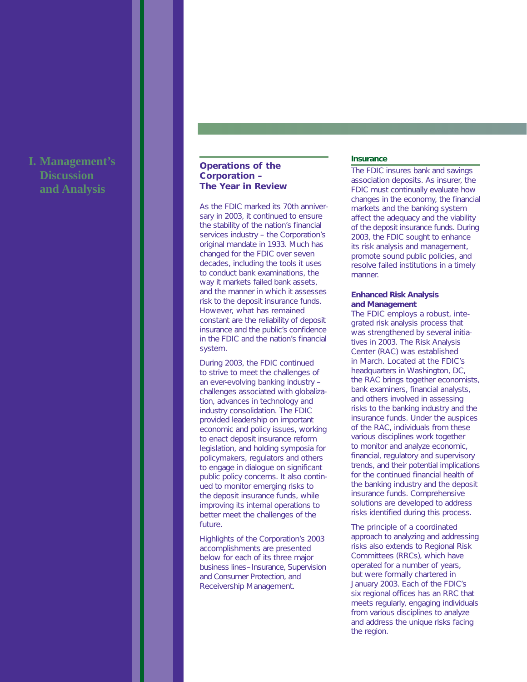# **I. Management's Discussion and Analysis**

# **Operations of the Corporation – The Year in Review**

As the FDIC marked its 70th anniversary in 2003, it continued to ensure the stability of the nation's financial services industry – the Corporation's original mandate in 1933. Much has changed for the FDIC over seven decades, including the tools it uses to conduct bank examinations, the way it markets failed bank assets. and the manner in which it assesses risk to the deposit insurance funds. However, what has remained constant are the reliability of deposit insurance and the public's confidence in the FDIC and the nation's financial system.

During 2003, the FDIC continued to strive to meet the challenges of an ever-evolving banking industry – challenges associated with globalization, advances in technology and industry consolidation. The FDIC provided leadership on important economic and policy issues, working to enact deposit insurance reform legislation, and holding symposia for policymakers, regulators and others to engage in dialogue on significant public policy concerns. It also continued to monitor emerging risks to the deposit insurance funds, while improving its internal operations to better meet the challenges of the future.

Highlights of the Corporation's 2003 accomplishments are presented below for each of its three major business lines–Insurance, Supervision and Consumer Protection, and Receivership Management.

# **Insurance**

The FDIC insures bank and savings association deposits. As insurer, the FDIC must continually evaluate how changes in the economy, the financial markets and the banking system affect the adequacy and the viability of the deposit insurance funds. During 2003, the FDIC sought to enhance its risk analysis and management, promote sound public policies, and resolve failed institutions in a timely manner.

#### **Enhanced Risk Analysis and Management**

The FDIC employs a robust, integrated risk analysis process that was strengthened by several initiatives in 2003. The Risk Analysis Center (RAC) was established in March. Located at the FDIC's headquarters in Washington, DC, the RAC brings together economists, bank examiners, financial analysts, and others involved in assessing risks to the banking industry and the insurance funds. Under the auspices of the RAC, individuals from these various disciplines work together to monitor and analyze economic, financial, regulatory and supervisory trends, and their potential implications for the continued financial health of the banking industry and the deposit insurance funds. Comprehensive solutions are developed to address risks identified during this process.

The principle of a coordinated approach to analyzing and addressing risks also extends to Regional Risk Committees (RRCs), which have operated for a number of years, but were formally chartered in January 2003. Each of the FDIC's six regional offices has an RRC that meets regularly, engaging individuals from various disciplines to analyze and address the unique risks facing the region.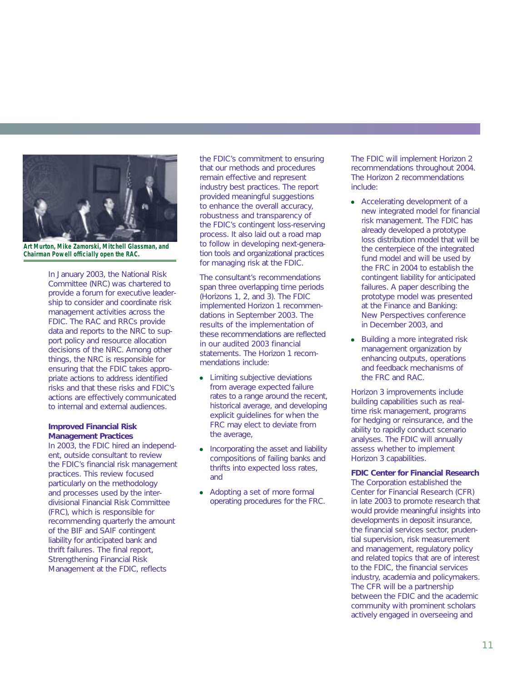

**Art Murton, Mike Zamorski, Mitchell Glassman, and Chairman Powell officially open the RAC.**

In January 2003, the National Risk Committee (NRC) was chartered to provide a forum for executive leadership to consider and coordinate risk management activities across the FDIC. The RAC and RRCs provide data and reports to the NRC to support policy and resource allocation decisions of the NRC. Among other things, the NRC is responsible for ensuring that the FDIC takes appropriate actions to address identified risks and that these risks and FDIC's actions are effectively communicated to internal and external audiences.

# **Improved Financial Risk Management Practices**

In 2003, the FDIC hired an independent, outside consultant to review the FDIC's financial risk management practices. This review focused particularly on the methodology and processes used by the interdivisional Financial Risk Committee (FRC), which is responsible for recommending quarterly the amount of the BIF and SAIF contingent liability for anticipated bank and thrift failures. The final report, *Strengthening Financial Risk Management at the FDIC*, reflects

the FDIC's commitment to ensuring that our methods and procedures remain effective and represent industry best practices. The report provided meaningful suggestions to enhance the overall accuracy, robustness and transparency of the FDIC's contingent loss-reserving process. It also laid out a road map to follow in developing next-generation tools and organizational practices for managing risk at the FDIC.

The consultant's recommendations span three overlapping time periods (Horizons 1, 2, and 3). The FDIC implemented Horizon 1 recommendations in September 2003. The results of the implementation of these recommendations are reflected in our audited 2003 financial statements. The Horizon 1 recommendations include:

- Limiting subjective deviations from average expected failure rates to a range around the recent, historical average, and developing explicit guidelines for when the FRC may elect to deviate from the average,
- Incorporating the asset and liability compositions of failing banks and thrifts into expected loss rates, and
- Adopting a set of more formal operating procedures for the FRC.

The FDIC will implement Horizon 2 recommendations throughout 2004. The Horizon 2 recommendations include:

- Accelerating development of a new integrated model for financial risk management. The FDIC has already developed a prototype loss distribution model that will be the centerpiece of the integrated fund model and will be used by the FRC in 2004 to establish the contingent liability for anticipated failures. A paper describing the prototype model was presented at the *Finance and Banking: New Perspectives* conference in December 2003, and
- Building a more integrated risk management organization by enhancing outputs, operations and feedback mechanisms of the FRC and RAC.

Horizon 3 improvements include building capabilities such as realtime risk management, programs for hedging or reinsurance, and the ability to rapidly conduct scenario analyses. The FDIC will annually assess whether to implement Horizon 3 capabilities.

**FDIC Center for Financial Research** The Corporation established the Center for Financial Research (CFR) in late 2003 to promote research that would provide meaningful insights into developments in deposit insurance, the financial services sector, prudential supervision, risk measurement and management, regulatory policy and related topics that are of interest to the FDIC, the financial services industry, academia and policymakers. The CFR will be a partnership between the FDIC and the academic community with prominent scholars actively engaged in overseeing and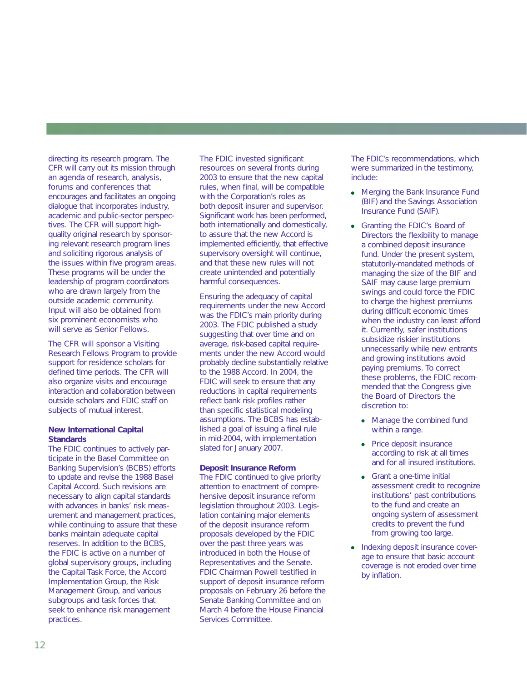directing its research program. The CFR will carry out its mission through an agenda of research, analysis, forums and conferences that encourages and facilitates an ongoing dialogue that incorporates industry, academic and public-sector perspectives. The CFR will support highquality original research by sponsoring relevant research program lines and soliciting rigorous analysis of the issues within five program areas. These programs will be under the leadership of program coordinators who are drawn largely from the outside academic community. Input will also be obtained from six prominent economists who will serve as Senior Fellows.

The CFR will sponsor a Visiting Research Fellows Program to provide support for residence scholars for defined time periods. The CFR will also organize visits and encourage interaction and collaboration between outside scholars and FDIC staff on subjects of mutual interest.

# **New International Capital Standards**

The FDIC continues to actively participate in the Basel Committee on Banking Supervision's (BCBS) efforts to update and revise the 1988 Basel Capital Accord. Such revisions are necessary to align capital standards with advances in banks' risk measurement and management practices, while continuing to assure that these banks maintain adequate capital reserves. In addition to the BCBS, the FDIC is active on a number of global supervisory groups, including the Capital Task Force, the Accord Implementation Group, the Risk Management Group, and various subgroups and task forces that seek to enhance risk management practices.

The FDIC invested significant resources on several fronts during 2003 to ensure that the new capital rules, when final, will be compatible with the Corporation's roles as both deposit insurer and supervisor. Significant work has been performed, both internationally and domestically, to assure that the new Accord is implemented efficiently, that effective supervisory oversight will continue, and that these new rules will not create unintended and potentially harmful consequences.

Ensuring the adequacy of capital requirements under the new Accord was the FDIC's main priority during 2003. The FDIC published a study suggesting that over time and on average, risk-based capital requirements under the new Accord would probably decline substantially relative to the 1988 Accord. In 2004, the FDIC will seek to ensure that any reductions in capital requirements reflect bank risk profiles rather than specific statistical modeling assumptions. The BCBS has established a goal of issuing a final rule in mid-2004, with implementation slated for January 2007.

# **Deposit Insurance Reform**

The FDIC continued to give priority attention to enactment of comprehensive deposit insurance reform legislation throughout 2003. Legislation containing major elements of the deposit insurance reform proposals developed by the FDIC over the past three years was introduced in both the House of Representatives and the Senate. FDIC Chairman Powell testified in support of deposit insurance reform proposals on February 26 before the Senate Banking Committee and on March 4 before the House Financial Services Committee.

The FDIC's recommendations, which were summarized in the testimony, include:

- Merging the Bank Insurance Fund (BIF) and the Savings Association Insurance Fund (SAIF).
- Granting the FDIC's Board of Directors the flexibility to manage a combined deposit insurance fund. Under the present system, statutorily-mandated methods of managing the size of the BIF and SAIF may cause large premium swings and could force the FDIC to charge the highest premiums during difficult economic times when the industry can least afford it. Currently, safer institutions subsidize riskier institutions unnecessarily while new entrants and growing institutions avoid paying premiums. To correct these problems, the FDIC recommended that the Congress give the Board of Directors the discretion to:
	- Manage the combined fund within a range.
	- Price deposit insurance according to risk at all times and for all insured institutions.
	- Grant a one-time initial assessment credit to recognize institutions' past contributions to the fund and create an ongoing system of assessment credits to prevent the fund from growing too large.
- Indexing deposit insurance coverage to ensure that basic account coverage is not eroded over time by inflation.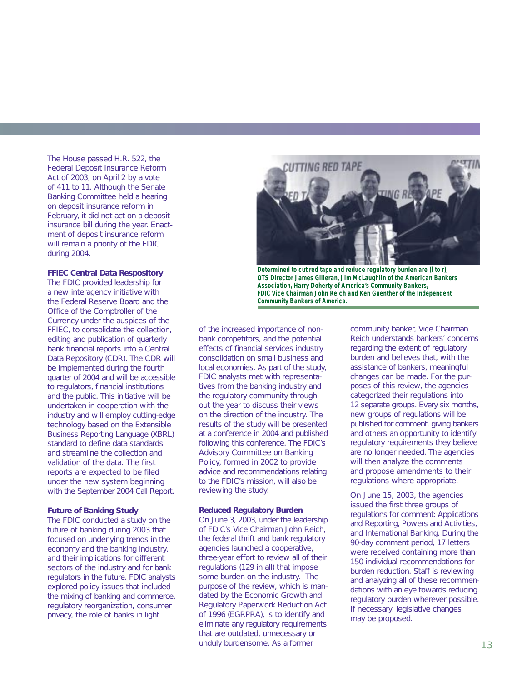The House passed H.R. 522, the Federal Deposit Insurance Reform Act of 2003, on April 2 by a vote of 411 to 11. Although the Senate Banking Committee held a hearing on deposit insurance reform in February, it did not act on a deposit insurance bill during the year. Enactment of deposit insurance reform will remain a priority of the FDIC during 2004.

#### **FFIEC Central Data Respository**

The FDIC provided leadership for a new interagency initiative with the Federal Reserve Board and the Office of the Comptroller of the Currency under the auspices of the FFIEC, to consolidate the collection, editing and publication of quarterly bank financial reports into a Central Data Repository (CDR). The CDR will be implemented during the fourth quarter of 2004 and will be accessible to regulators, financial institutions and the public. This initiative will be undertaken in cooperation with the industry and will employ cutting-edge technology based on the Extensible Business Reporting Language (XBRL) standard to define data standards and streamline the collection and validation of the data. The first reports are expected to be filed under the new system beginning with the September 2004 Call Report.

### **Future of Banking Study**

The FDIC conducted a study on the future of banking during 2003 that focused on underlying trends in the economy and the banking industry, and their implications for different sectors of the industry and for bank regulators in the future. FDIC analysts explored policy issues that included the mixing of banking and commerce, regulatory reorganization, consumer privacy, the role of banks in light



**Determined to cut red tape and reduce regulatory burden are (l to r), OTS Director James Gilleran, Jim McLaughlin of the American Bankers Association, Harry Doherty of America's Community Bankers, FDIC Vice Chairman John Reich and Ken Guenther of the Independent Community Bankers of America.**

of the increased importance of nonbank competitors, and the potential effects of financial services industry consolidation on small business and local economies. As part of the study, FDIC analysts met with representatives from the banking industry and the regulatory community throughout the year to discuss their views on the direction of the industry. The results of the study will be presented at a conference in 2004 and published following this conference. The FDIC's Advisory Committee on Banking Policy, formed in 2002 to provide advice and recommendations relating to the FDIC's mission, will also be reviewing the study.

#### **Reduced Regulatory Burden**

On June 3, 2003, under the leadership of FDIC's Vice Chairman John Reich, the federal thrift and bank regulatory agencies launched a cooperative, three-year effort to review all of their regulations (129 in all) that impose some burden on the industry. The purpose of the review, which is mandated by the Economic Growth and Regulatory Paperwork Reduction Act of 1996 (EGRPRA), is to identify and eliminate any regulatory requirements that are outdated, unnecessary or unduly burdensome. As a former

community banker, Vice Chairman Reich understands bankers' concerns regarding the extent of regulatory burden and believes that, with the assistance of bankers, meaningful changes can be made. For the purposes of this review, the agencies categorized their regulations into 12 separate groups. Every six months, new groups of regulations will be published for comment, giving bankers and others an opportunity to identify regulatory requirements they believe are no longer needed. The agencies will then analyze the comments and propose amendments to their regulations where appropriate.

On June 15, 2003, the agencies issued the first three groups of regulations for comment: Applications and Reporting, Powers and Activities, and International Banking. During the 90-day comment period, 17 letters were received containing more than 150 individual recommendations for burden reduction. Staff is reviewing and analyzing all of these recommendations with an eye towards reducing regulatory burden wherever possible. If necessary, legislative changes may be proposed.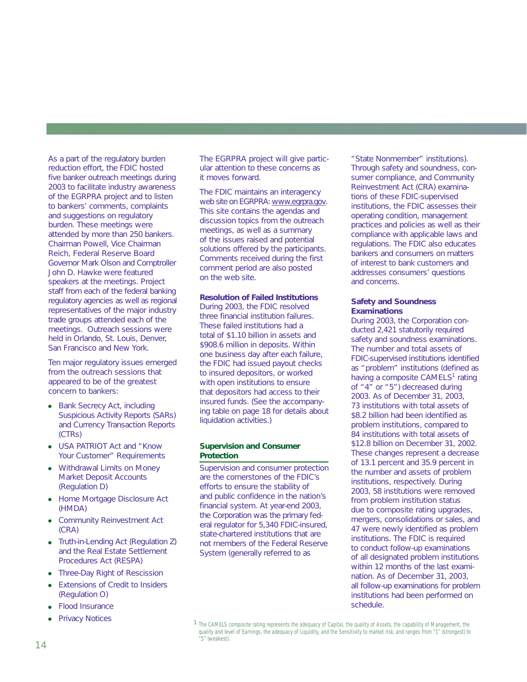As a part of the regulatory burden reduction effort, the FDIC hosted five banker outreach meetings during 2003 to facilitate industry awareness of the EGRPRA project and to listen to bankers' comments, complaints and suggestions on regulatory burden. These meetings were attended by more than 250 bankers. Chairman Powell, Vice Chairman Reich, Federal Reserve Board Governor Mark Olson and Comptroller John D. Hawke were featured speakers at the meetings. Project staff from each of the federal banking regulatory agencies as well as regional representatives of the major industry trade groups attended each of the meetings. Outreach sessions were held in Orlando, St. Louis, Denver, San Francisco and New York.

Ten major regulatory issues emerged from the outreach sessions that appeared to be of the greatest concern to bankers:

- Bank Secrecy Act, including Suspicious Activity Reports (SARs) and Currency Transaction Reports (CTRs)
- USA PATRIOT Act and "Know Your Customer" Requirements
- Withdrawal Limits on Money Market Deposit Accounts (Regulation D)
- Home Mortgage Disclosure Act (HMDA)
- Community Reinvestment Act (CRA)
- Truth-in-Lending Act (Regulation Z) and the Real Estate Settlement Procedures Act (RESPA)
- Three-Day Right of Rescission
- **Extensions of Credit to Insiders** (Regulation O)
- **Flood Insurance**
- **Privacy Notices**

The EGRPRA project will give particular attention to these concerns as it moves forward.

The FDIC maintains an interagency web site on EGRPRA: www.egrpra.gov. This site contains the agendas and discussion topics from the outreach meetings, as well as a summary of the issues raised and potential solutions offered by the participants. Comments received during the first comment period are also posted on the web site.

# **Resolution of Failed Institutions**

During 2003, the FDIC resolved three financial institution failures. These failed institutions had a total of \$1.10 billion in assets and \$908.6 million in deposits. Within one business day after each failure, the FDIC had issued payout checks to insured depositors, or worked with open institutions to ensure that depositors had access to their insured funds. (See the accompanying table on page 18 for details about liquidation activities.)

# **Supervision and Consumer Protection**

Supervision and consumer protection are the cornerstones of the FDIC's efforts to ensure the stability of and public confidence in the nation's financial system. At year-end 2003, the Corporation was the primary federal regulator for 5,340 FDIC-insured, state-chartered institutions that are not members of the Federal Reserve System (generally referred to as

"State Nonmember" institutions). Through safety and soundness, consumer compliance, and Community Reinvestment Act (CRA) examinations of these FDIC-supervised institutions, the FDIC assesses their operating condition, management practices and policies as well as their compliance with applicable laws and regulations. The FDIC also educates bankers and consumers on matters of interest to bank customers and addresses consumers' questions and concerns.

### **Safety and Soundness Examinations**

During 2003, the Corporation conducted 2,421 statutorily required safety and soundness examinations. The number and total assets of FDIC-supervised institutions identified as "problem" institutions (defined as having a composite CAMELS<sup>1</sup> rating of "4" or "5") decreased during 2003. As of December 31, 2003, 73 institutions with total assets of \$8.2 billion had been identified as problem institutions, compared to 84 institutions with total assets of \$12.8 billion on December 31, 2002. These changes represent a decrease of 13.1 percent and 35.9 percent in the number and assets of problem institutions, respectively. During 2003, 58 institutions were removed from problem institution status due to composite rating upgrades, mergers, consolidations or sales, and 47 were newly identified as problem institutions. The FDIC is required to conduct follow-up examinations of all designated problem institutions within 12 months of the last examination. As of December 31, 2003, all follow-up examinations for problem institutions had been performed on schedule.

<sup>&</sup>lt;sup>1</sup> The CAMELS composite rating represents the adequacy of Capital, the quality of Assets, the capability of Management, the quality and level of Earnings, the adequacy of Liquidity, and the Sensitivity to market risk, and ranges from "1" (strongest) to "5" (weakest).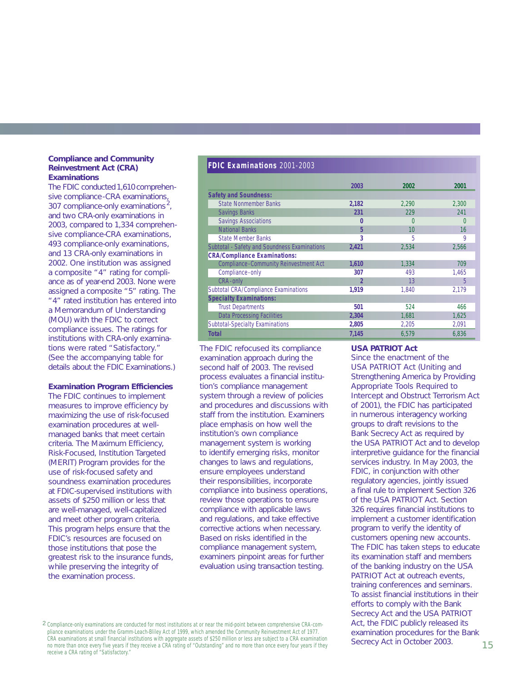# **Compliance and Community Reinvestment Act (CRA) Examinations**

The FDIC conducted 1,610 comprehensive compliance-CRA examinations, 307 compliance-only examinations<sup>2</sup>, and two CRA-only examinations in 2003, compared to 1,334 comprehensive compliance-CRA examinations, 493 compliance-only examinations, and 13 CRA-only examinations in 2002. One institution was assigned a composite "4" rating for compliance as of year-end 2003. None were assigned a composite "5" rating. The "4" rated institution has entered into a Memorandum of Understanding (MOU) with the FDIC to correct compliance issues. The ratings for institutions with CRA-only examinations were rated "Satisfactory." (See the accompanying table for details about the FDIC Examinations.)

#### **Examination Program Efficiencies**

The FDIC continues to implement measures to improve efficiency by maximizing the use of risk-focused examination procedures at wellmanaged banks that meet certain criteria. The Maximum Efficiency, Risk-Focused, Institution Targeted (MERIT) Program provides for the use of risk-focused safety and soundness examination procedures at FDIC-supervised institutions with assets of \$250 million or less that are well-managed, well-capitalized and meet other program criteria. This program helps ensure that the FDIC's resources are focused on those institutions that pose the greatest risk to the insurance funds, while preserving the integrity of the examination process.

**FDIC Examinations** 2001-2003

|                                              | 2003  | 2002  | 2001  |
|----------------------------------------------|-------|-------|-------|
| <b>Safety and Soundness:</b>                 |       |       |       |
| <b>State Nonmember Banks</b>                 | 2,182 | 2.290 | 2.300 |
| <b>Savings Banks</b>                         | 231   | 229   | 241   |
| <b>Savings Associations</b>                  | 0     |       | N     |
| <b>National Banks</b>                        | 5     | 10    | 16    |
| <b>State Member Banks</b>                    | 3     | 5     | 9     |
| Subtotal - Safety and Soundness Examinations | 2,421 | 2.534 | 2,566 |
| <b>CRA/Compliance Examinations:</b>          |       |       |       |
| Compliance-Community Reinvestment Act        | 1,610 | 1.334 | 709   |
| Compliance-only                              | 307   | 493   | 1,465 |
| CRA-only                                     | 2     | 13    | 5     |
| Subtotal CRA/Compliance Examinations         | 1.919 | 1.840 | 2.179 |
| <b>Specialty Examinations:</b>               |       |       |       |
| <b>Trust Departments</b>                     | 501   | 524   | 466   |
| <b>Data Processing Facilities</b>            | 2,304 | 1,681 | 1,625 |
| <b>Subtotal-Specialty Examinations</b>       | 2,805 | 2,205 | 2,091 |
| Total                                        | 7,145 | 6.579 | 6.836 |

The FDIC refocused its compliance examination approach during the second half of 2003. The revised process evaluates a financial institution's compliance management system through a review of policies and procedures and discussions with staff from the institution. Examiners place emphasis on how well the institution's own compliance management system is working to identify emerging risks, monitor changes to laws and regulations, ensure employees understand their responsibilities, incorporate compliance into business operations, review those operations to ensure compliance with applicable laws and regulations, and take effective corrective actions when necessary. Based on risks identified in the compliance management system, examiners pinpoint areas for further evaluation using transaction testing.

# **USA PATRIOT Act**

Since the enactment of the USA PATRIOT Act (Uniting and Strengthening America by Providing Appropriate Tools Required to Intercept and Obstruct Terrorism Act of 2001), the FDIC has participated in numerous interagency working groups to draft revisions to the Bank Secrecy Act as required by the USA PATRIOT Act and to develop interpretive guidance for the financial services industry. In May 2003, the FDIC, in conjunction with other regulatory agencies, jointly issued a final rule to implement Section 326 of the USA PATRIOT Act. Section 326 requires financial institutions to implement a customer identification program to verify the identity of customers opening new accounts. The FDIC has taken steps to educate its examination staff and members of the banking industry on the USA PATRIOT Act at outreach events, training conferences and seminars. To assist financial institutions in their efforts to comply with the Bank Secrecy Act and the USA PATRIOT Act, the FDIC publicly released its examination procedures for the Bank Secrecy Act in October 2003.

<sup>2</sup> Compliance-only examinations are conducted for most institutions at or near the mid-point between comprehensive CRA-compliance examinations under the Gramm-Leach-Bliley Act of 1999, which amended the Community Reinvestment Act of 1977. CRA examinations at small financial institutions with aggregate assets of \$250 million or less are subject to a CRA examination no more than once every five years if they receive a CRA rating of "Outstanding" and no more than once every four years if they receive a CRA rating of "Satisfactory."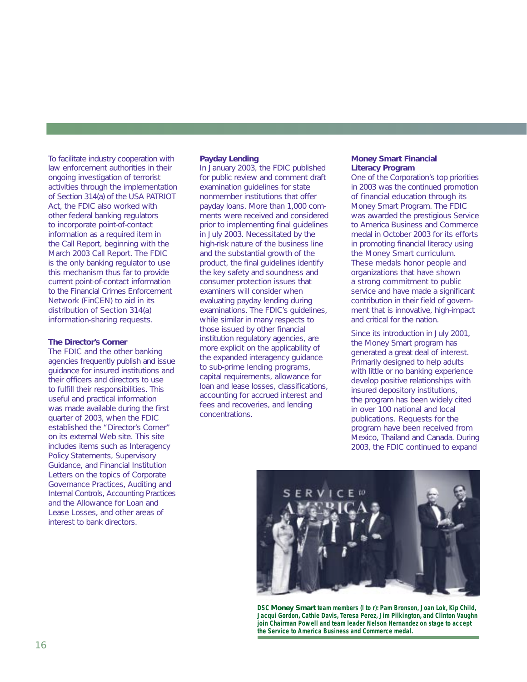To facilitate industry cooperation with law enforcement authorities in their ongoing investigation of terrorist activities through the implementation of Section 314(a) of the USA PATRIOT Act, the FDIC also worked with other federal banking regulators to incorporate point-of-contact information as a required item in the Call Report, beginning with the March 2003 Call Report. The FDIC is the only banking regulator to use this mechanism thus far to provide current point-of-contact information to the Financial Crimes Enforcement Network (FinCEN) to aid in its distribution of Section 314(a) information-sharing requests.

# **The Director's Corner**

The FDIC and the other banking agencies frequently publish and issue guidance for insured institutions and their officers and directors to use to fulfill their responsibilities. This useful and practical information was made available during the first quarter of 2003, when the FDIC established the "Director's Corner" on its external Web site. This site includes items such as Interagency Policy Statements, Supervisory Guidance, and Financial Institution Letters on the topics of Corporate Governance Practices, Auditing and Internal Controls, Accounting Practices and the Allowance for Loan and Lease Losses, and other areas of interest to bank directors.

#### **Payday Lending**

In January 2003, the FDIC published for public review and comment draft examination guidelines for state nonmember institutions that offer payday loans. More than 1,000 comments were received and considered prior to implementing final guidelines in July 2003. Necessitated by the high-risk nature of the business line and the substantial growth of the product, the final guidelines identify the key safety and soundness and consumer protection issues that examiners will consider when evaluating payday lending during examinations. The FDIC's guidelines, while similar in many respects to those issued by other financial institution regulatory agencies, are more explicit on the applicability of the expanded interagency guidance to sub-prime lending programs, capital requirements, allowance for loan and lease losses, classifications, accounting for accrued interest and fees and recoveries, and lending concentrations.

#### *Money Smart* **Financial Literacy Program**

One of the Corporation's top priorities in 2003 was the continued promotion of financial education through its *Money Smart* Program. The FDIC was awarded the prestigious *Service to America Business and Commerce* medal in October 2003 for its efforts in promoting financial literacy using the *Money Smart* curriculum. These medals honor people and organizations that have shown a strong commitment to public service and have made a significant contribution in their field of government that is innovative, high-impact and critical for the nation.

Since its introduction in July 2001, the *Money Smart* program has generated a great deal of interest. Primarily designed to help adults with little or no banking experience develop positive relationships with insured depository institutions, the program has been widely cited in over 100 national and local publications. Requests for the program have been received from Mexico, Thailand and Canada. During 2003, the FDIC continued to expand



**DSC** *Money Smart* **team members (l to r): Pam Bronson, Joan Lok, Kip Child, Jacqui Gordon, Cathie Davis, Teresa Perez, Jim Pilkington, and Clinton Vaughn join Chairman Powell and team leader Nelson Hernandez on stage to accept the Service to America Business and Commerce medal.**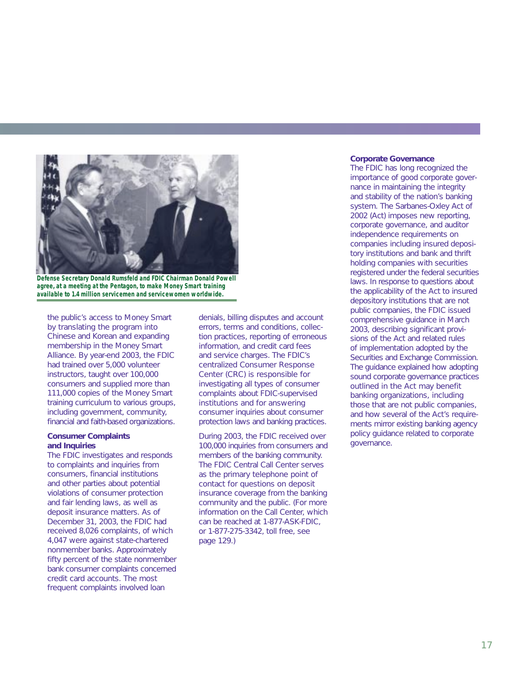

**Defense Secretary Donald Rumsfeld and FDIC Chairman Donald Powell agree, at a meeting at the Pentagon, to make** *Money Smart* **training available to 1.4 million servicemen and servicewomen worldwide.**

the public's access to *Money Smart* by translating the program into Chinese and Korean and expanding membership in the *Money Smart* Alliance. By year-end 2003, the FDIC had trained over 5,000 volunteer instructors, taught over 100,000 consumers and supplied more than 111,000 copies of the *Money Smart* training curriculum to various groups, including government, community, financial and faith-based organizations.

#### **Consumer Complaints and Inquiries**

The FDIC investigates and responds to complaints and inquiries from consumers, financial institutions and other parties about potential violations of consumer protection and fair lending laws, as well as deposit insurance matters. As of December 31, 2003, the FDIC had received 8,026 complaints, of which 4,047 were against state-chartered nonmember banks. Approximately fifty percent of the state nonmember bank consumer complaints concerned credit card accounts. The most frequent complaints involved loan

denials, billing disputes and account errors, terms and conditions, collection practices, reporting of erroneous information, and credit card fees and service charges. The FDIC's centralized Consumer Response Center (CRC) is responsible for investigating all types of consumer complaints about FDIC-supervised institutions and for answering consumer inquiries about consumer protection laws and banking practices.

During 2003, the FDIC received over 100,000 inquiries from consumers and members of the banking community. The FDIC Central Call Center serves as the primary telephone point of contact for questions on deposit insurance coverage from the banking community and the public. (For more information on the Call Center, which can be reached at 1-877-ASK-FDIC, or 1-877-275-3342, toll free, see page 129.)

#### **Corporate Governance**

The FDIC has long recognized the importance of good corporate governance in maintaining the integrity and stability of the nation's banking system. The Sarbanes-Oxley Act of 2002 (Act) imposes new reporting, corporate governance, and auditor independence requirements on companies including insured depository institutions and bank and thrift holding companies with securities registered under the federal securities laws. In response to questions about the applicability of the Act to insured depository institutions that are not public companies, the FDIC issued comprehensive guidance in March 2003, describing significant provisions of the Act and related rules of implementation adopted by the Securities and Exchange Commission. The guidance explained how adopting sound corporate governance practices outlined in the Act may benefit banking organizations, including those that are not public companies, and how several of the Act's requirements mirror existing banking agency policy guidance related to corporate governance.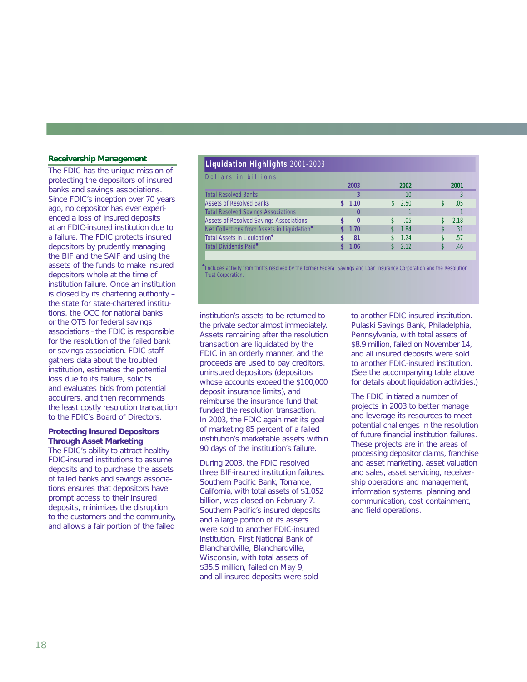# **Receivership Management**

The FDIC has the unique mission of protecting the depositors of insured banks and savings associations. Since FDIC's inception over 70 years ago, no depositor has ever experienced a loss of insured deposits at an FDIC-insured institution due to a failure. The FDIC protects insured depositors by prudently managing the BIF and the SAIF and using the assets of the funds to make insured depositors whole at the time of institution failure. Once an institution is closed by its chartering authority – the state for state-chartered institutions, the OCC for national banks, or the OTS for federal savings associations –the FDIC is responsible for the resolution of the failed bank or savings association. FDIC staff gathers data about the troubled institution, estimates the potential loss due to its failure, solicits and evaluates bids from potential acquirers, and then recommends the least costly resolution transaction to the FDIC's Board of Directors.

# **Protecting Insured Depositors Through Asset Marketing**

The FDIC's ability to attract healthy FDIC-insured institutions to assume deposits and to purchase the assets of failed banks and savings associations ensures that depositors have prompt access to their insured deposits, minimizes the disruption to the customers and the community, and allows a fair portion of the failed

# **Liquidation Highlights** 2001-2003

| Dollars in billions                                     |          |                      |      |
|---------------------------------------------------------|----------|----------------------|------|
|                                                         | 2003     | 2002                 | 2001 |
| <b>Total Resolved Banks</b>                             |          | 10                   |      |
| <b>Assets of Resolved Banks</b>                         | \$1.10   | 2.50<br>$\mathbb{S}$ | .05  |
| <b>Total Resolved Savings Associations</b>              | $\bf{0}$ |                      |      |
| <b>Assets of Resolved Savings Associations</b>          | $\Omega$ | .05                  | 2.18 |
| Net Collections from Assets in Liquidation <sup>®</sup> | 1.70     | 1.84                 | .31  |
| Total Assets in Liquidation <sup>®</sup>                | .81      | 1.24                 | .57  |
| Total Dividends Paid <sup>•</sup>                       | 1.06     | \$2.12               | .46  |

Concludes activity from thrifts resolved by the former Federal Savings and Loan Insurance Corporation and the Resolution<br>
Trust Corporation. Trust Corporation.

institution's assets to be returned to the private sector almost immediately. Assets remaining after the resolution transaction are liquidated by the FDIC in an orderly manner, and the proceeds are used to pay creditors, uninsured depositors (depositors whose accounts exceed the \$100,000 deposit insurance limits), and reimburse the insurance fund that funded the resolution transaction. In 2003, the FDIC again met its goal of marketing 85 percent of a failed institution's marketable assets within 90 days of the institution's failure.

During 2003, the FDIC resolved three BIF-insured institution failures. Southern Pacific Bank, Torrance, California, with total assets of \$1.052 billion, was closed on February 7. Southern Pacific's insured deposits and a large portion of its assets were sold to another FDIC-insured institution. First National Bank of Blanchardville, Blanchardville, Wisconsin, with total assets of \$35.5 million, failed on May 9, and all insured deposits were sold

to another FDIC-insured institution. Pulaski Savings Bank, Philadelphia, Pennsylvania, with total assets of \$8.9 million, failed on November 14, and all insured deposits were sold to another FDIC-insured institution. (See the accompanying table above for details about liquidation activities.)

The FDIC initiated a number of projects in 2003 to better manage and leverage its resources to meet potential challenges in the resolution of future financial institution failures. These projects are in the areas of processing depositor claims, franchise and asset marketing, asset valuation and sales, asset servicing, receivership operations and management, information systems, planning and communication, cost containment, to another FDIC-insu<br>Pulaski Savings Bank<br>Pennsylvania, with tc<br>\$8.9 million, failed on<br>and all insured depos<br>to another FDIC-insu<br>(See the accompanyi<br>for details about liquid<br>The FDIC initiated a r<br>projects in 2003 to b<br>a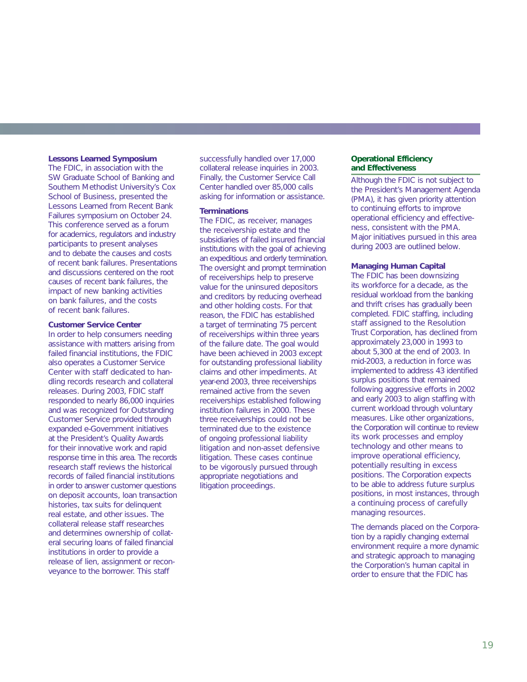#### **Lessons Learned Symposium**

The FDIC, in association with the SW Graduate School of Banking and Southern Methodist University's Cox School of Business, presented the *Lessons Learned from Recent Bank Failures* symposium on October 24. This conference served as a forum for academics, regulators and industry participants to present analyses and to debate the causes and costs of recent bank failures. Presentations and discussions centered on the root causes of recent bank failures, the impact of new banking activities on bank failures, and the costs of recent bank failures.

#### **Customer Service Center**

In order to help consumers needing assistance with matters arising from failed financial institutions, the FDIC also operates a Customer Service Center with staff dedicated to handling records research and collateral releases. During 2003, FDIC staff responded to nearly 86,000 inquiries and was recognized for Outstanding Customer Service provided through expanded e-Government initiatives at the President's Quality Awards for their innovative work and rapid response time in this area. The records research staff reviews the historical records of failed financial institutions in order to answer customer questions on deposit accounts, loan transaction histories, tax suits for delinquent real estate, and other issues. The collateral release staff researches and determines ownership of collateral securing loans of failed financial institutions in order to provide a release of lien, assignment or reconveyance to the borrower. This staff

successfully handled over 17,000 collateral release inquiries in 2003. Finally, the Customer Service Call Center handled over 85,000 calls asking for information or assistance.

#### **Terminations**

The FDIC, as receiver, manages the receivership estate and the subsidiaries of failed insured financial institutions with the goal of achieving an expeditious and orderly termination. The oversight and prompt termination of receiverships help to preserve value for the uninsured depositors and creditors by reducing overhead and other holding costs. For that reason, the FDIC has established a target of terminating 75 percent of receiverships within three years of the failure date. The goal would have been achieved in 2003 except for outstanding professional liability claims and other impediments. At year-end 2003, three receiverships remained active from the seven receiverships established following institution failures in 2000. These three receiverships could not be terminated due to the existence of ongoing professional liability litigation and non-asset defensive litigation. These cases continue to be vigorously pursued through appropriate negotiations and litigation proceedings.

#### **Operational Efficiency and Effectiveness**

Although the FDIC is not subject to the President's Management Agenda (PMA), it has given priority attention to continuing efforts to improve operational efficiency and effectiveness, consistent with the PMA. Major initiatives pursued in this area during 2003 are outlined below.

# **Managing Human Capital**

The FDIC has been downsizing its workforce for a decade, as the residual workload from the banking and thrift crises has gradually been completed. FDIC staffing, including staff assigned to the Resolution Trust Corporation, has declined from approximately 23,000 in 1993 to about 5,300 at the end of 2003. In mid-2003, a reduction in force was implemented to address 43 identified surplus positions that remained following aggressive efforts in 2002 and early 2003 to align staffing with current workload through voluntary measures. Like other organizations, the Corporation will continue to review its work processes and employ technology and other means to improve operational efficiency, potentially resulting in excess positions. The Corporation expects to be able to address future surplus positions, in most instances, through a continuing process of carefully managing resources.

The demands placed on the Corporation by a rapidly changing external environment require a more dynamic and strategic approach to managing the Corporation's human capital in order to ensure that the FDIC has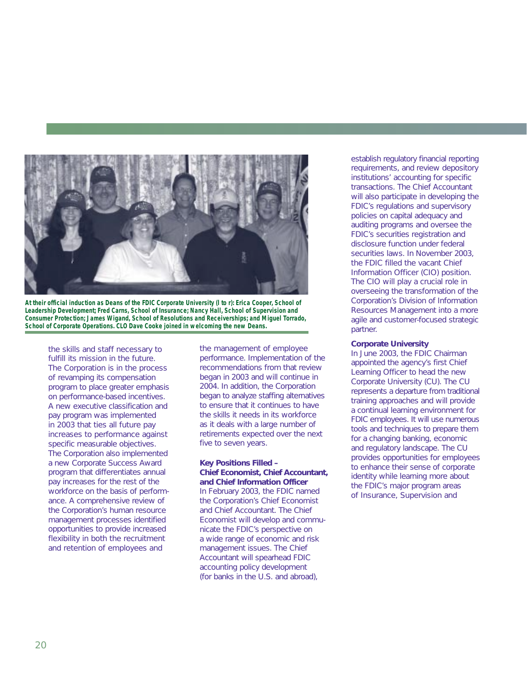

**At their official induction as Deans of the FDIC Corporate University (l to r): Erica Cooper, School of Leadership Development; Fred Carns, School of Insurance; Nancy Hall, School of Supervision and Consumer Protection; James Wigand, School of Resolutions and Receiverships; and Miguel Torrado, School of Corporate Operations. CLO Dave Cooke joined in welcoming the new Deans.**

the skills and staff necessary to fulfill its mission in the future. The Corporation is in the process of revamping its compensation program to place greater emphasis on performance-based incentives. A new executive classification and pay program was implemented in 2003 that ties all future pay increases to performance against specific measurable objectives. The Corporation also implemented a new Corporate Success Award program that differentiates annual pay increases for the rest of the workforce on the basis of performance. A comprehensive review of the Corporation's human resource management processes identified opportunities to provide increased flexibility in both the recruitment and retention of employees and

the management of employee performance. Implementation of the recommendations from that review began in 2003 and will continue in 2004. In addition, the Corporation began to analyze staffing alternatives to ensure that it continues to have the skills it needs in its workforce as it deals with a large number of retirements expected over the next five to seven years.

### **Key Positions Filled – Chief Economist, Chief Accountant, and Chief Information Officer**

In February 2003, the FDIC named the Corporation's Chief Economist and Chief Accountant. The Chief Economist will develop and communicate the FDIC's perspective on a wide range of economic and risk management issues. The Chief Accountant will spearhead FDIC accounting policy development (for banks in the U.S. and abroad),

establish regulatory financial reporting requirements, and review depository institutions' accounting for specific transactions. The Chief Accountant will also participate in developing the FDIC's regulations and supervisory policies on capital adequacy and auditing programs and oversee the FDIC's securities registration and disclosure function under federal securities laws. In November 2003, the FDIC filled the vacant Chief Information Officer (CIO) position. The CIO will play a crucial role in overseeing the transformation of the Corporation's Division of Information Resources Management into a more agile and customer-focused strategic partner.

#### **Corporate University**

In June 2003, the FDIC Chairman appointed the agency's first Chief Learning Officer to head the new Corporate University (CU). The CU represents a departure from traditional training approaches and will provide a continual learning environment for FDIC employees. It will use numerous tools and techniques to prepare them for a changing banking, economic and regulatory landscape. The CU provides opportunities for employees to enhance their sense of corporate identity while learning more about the FDIC's major program areas of Insurance, Supervision and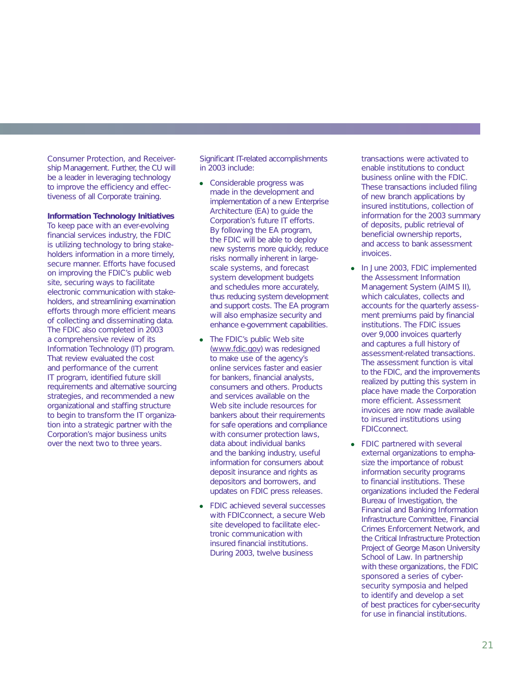Consumer Protection, and Receivership Management. Further, the CU will be a leader in leveraging technology to improve the efficiency and effectiveness of all Corporate training.

#### **Information Technology Initiatives**

To keep pace with an ever-evolving financial services industry, the FDIC is utilizing technology to bring stakeholders information in a more timely, secure manner. Efforts have focused on improving the FDIC's public web site, securing ways to facilitate electronic communication with stakeholders, and streamlining examination efforts through more efficient means of collecting and disseminating data. The FDIC also completed in 2003 a comprehensive review of its Information Technology (IT) program. That review evaluated the cost and performance of the current IT program, identified future skill requirements and alternative sourcing strategies, and recommended a new organizational and staffing structure to begin to transform the IT organization into a strategic partner with the Corporation's major business units over the next two to three years.

Significant IT-related accomplishments in 2003 include:

- Considerable progress was made in the development and implementation of a new Enterprise Architecture (EA) to guide the Corporation's future IT efforts. By following the EA program, the FDIC will be able to deploy new systems more quickly, reduce risks normally inherent in largescale systems, and forecast system development budgets and schedules more accurately, thus reducing system development and support costs. The EA program will also emphasize security and enhance e-government capabilities.
- The FDIC's public Web site (www.fdic.gov) was redesigned to make use of the agency's online services faster and easier for bankers, financial analysts, consumers and others. Products and services available on the Web site include resources for bankers about their requirements for safe operations and compliance with consumer protection laws, data about individual banks and the banking industry, useful information for consumers about deposit insurance and rights as depositors and borrowers, and updates on FDIC press releases.
- FDIC achieved several successes with FDIC*connect*, a secure Web site developed to facilitate electronic communication with insured financial institutions. During 2003, twelve business

transactions were activated to enable institutions to conduct business online with the FDIC. These transactions included filing of new branch applications by insured institutions, collection of information for the 2003 summary of deposits, public retrieval of beneficial ownership reports, and access to bank assessment invoices.

- In June 2003, FDIC implemented the Assessment Information Management System (AIMS II), which calculates, collects and accounts for the quarterly assessment premiums paid by financial institutions. The FDIC issues over 9,000 invoices quarterly and captures a full history of assessment-related transactions. The assessment function is vital to the FDIC, and the improvements realized by putting this system in place have made the Corporation more efficient. Assessment invoices are now made available to insured institutions using FDIC*connect*.
- FDIC partnered with several external organizations to emphasize the importance of robust information security programs to financial institutions. These organizations included the Federal Bureau of Investigation, the Financial and Banking Information Infrastructure Committee, Financial Crimes Enforcement Network, and the Critical Infrastructure Protection Project of George Mason University School of Law. In partnership with these organizations, the FDIC sponsored a series of cybersecurity symposia and helped to identify and develop a set of best practices for cyber-security for use in financial institutions.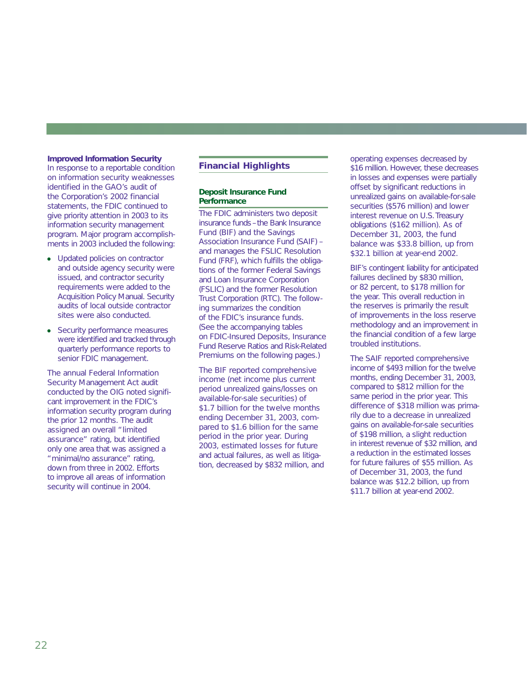#### **Improved Information Security**

In response to a reportable condition on information security weaknesses identified in the GAO's audit of the Corporation's 2002 financial statements, the FDIC continued to give priority attention in 2003 to its information security management program. Major program accomplishments in 2003 included the following:

- Updated policies on contractor and outside agency security were issued, and contractor security requirements were added to the Acquisition Policy Manual. Security audits of local outside contractor sites were also conducted.
- Security performance measures were identified and tracked through quarterly performance reports to senior FDIC management.

The annual Federal Information Security Management Act audit conducted by the OIG noted significant improvement in the FDIC's information security program during the prior 12 months. The audit assigned an overall "limited assurance" rating, but identified only one area that was assigned a "minimal/no assurance" rating, down from three in 2002. Efforts to improve all areas of information security will continue in 2004.

# **Financial Highlights**

# **Deposit Insurance Fund Performance**

The FDIC administers two deposit insurance funds –the Bank Insurance Fund (BIF) and the Savings Association Insurance Fund (SAIF) – and manages the FSLIC Resolution Fund (FRF), which fulfills the obligations of the former Federal Savings and Loan Insurance Corporation (FSLIC) and the former Resolution Trust Corporation (RTC). The following summarizes the condition of the FDIC's insurance funds. (See the accompanying tables on FDIC-Insured Deposits, Insurance Fund Reserve Ratios and Risk-Related Premiums on the following pages.)

The BIF reported comprehensive income (net income plus current period unrealized gains/losses on available-for-sale securities) of \$1.7 billion for the twelve months ending December 31, 2003, compared to \$1.6 billion for the same period in the prior year. During 2003, estimated losses for future and actual failures, as well as litigation, decreased by \$832 million, and operating expenses decreased by \$16 million. However, these decreases in losses and expenses were partially offset by significant reductions in unrealized gains on available-for-sale securities (\$576 million) and lower interest revenue on U.S. Treasury obligations (\$162 million). As of December 31, 2003, the fund balance was \$33.8 billion, up from \$32.1 billion at year-end 2002.

BIF's contingent liability for anticipated failures declined by \$830 million. or 82 percent, to \$178 million for the year. This overall reduction in the reserves is primarily the result of improvements in the loss reserve methodology and an improvement in the financial condition of a few large troubled institutions.

The SAIF reported comprehensive income of \$493 million for the twelve months, ending December 31, 2003, compared to \$812 million for the same period in the prior year. This difference of \$318 million was primarily due to a decrease in unrealized gains on available-for-sale securities of \$198 million, a slight reduction in interest revenue of \$32 million, and a reduction in the estimated losses for future failures of \$55 million. As of December 31, 2003, the fund balance was \$12.2 billion, up from \$11.7 billion at year-end 2002.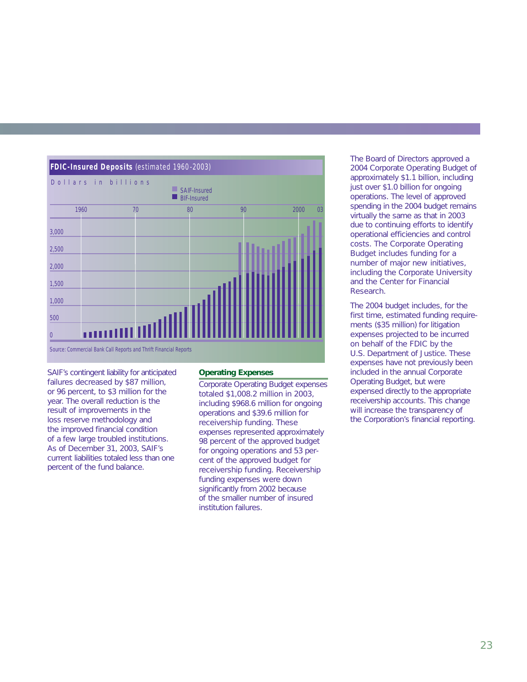

SAIF's contingent liability for anticipated failures decreased by \$87 million, or 96 percent, to \$3 million for the year. The overall reduction is the result of improvements in the loss reserve methodology and the improved financial condition of a few large troubled institutions. As of December 31, 2003, SAIF's current liabilities totaled less than one percent of the fund balance.

# **Operating Expenses**

Corporate Operating Budget expenses totaled \$1,008.2 million in 2003, including \$968.6 million for ongoing operations and \$39.6 million for receivership funding. These expenses represented approximately 98 percent of the approved budget for ongoing operations and 53 percent of the approved budget for receivership funding. Receivership funding expenses were down significantly from 2002 because of the smaller number of insured institution failures.

The Board of Directors approved a 2004 Corporate Operating Budget of approximately \$1.1 billion, including just over \$1.0 billion for ongoing operations. The level of approved spending in the 2004 budget remains virtually the same as that in 2003 due to continuing efforts to identify operational efficiencies and control costs. The Corporate Operating Budget includes funding for a number of major new initiatives, including the Corporate University and the Center for Financial Research.

The 2004 budget includes, for the first time, estimated funding requirements (\$35 million) for litigation expenses projected to be incurred on behalf of the FDIC by the U.S. Department of Justice. These expenses have not previously been included in the annual Corporate Operating Budget, but were expensed directly to the appropriate receivership accounts. This change will increase the transparency of the Corporation's financial reporting.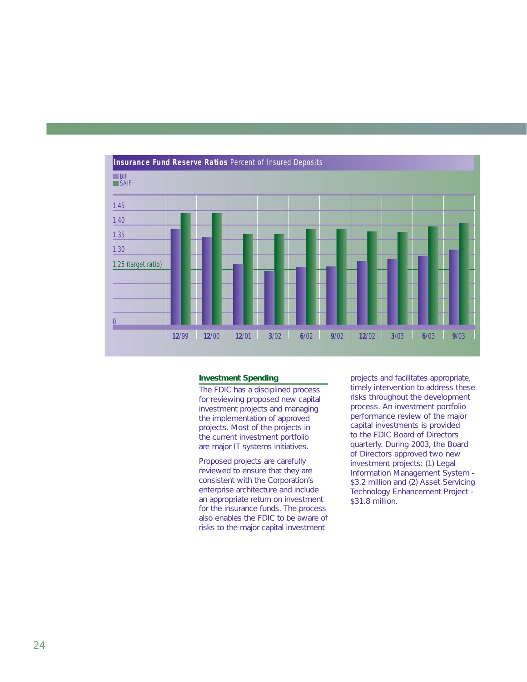

#### **Investment Spending**

The FDIC has a disciplined process for reviewing proposed new capital investment projects and managing the implementation of approved projects. Most of the projects in the current investment portfolio are major IT systems initiatives.

Proposed projects are carefully reviewed to ensure that they are consistent with the Corporation's enterprise architecture and include an appropriate return on investment for the insurance funds. The process also enables the FDIC to be aware of risks to the major capital investment

projects and facilitates appropriate, timely intervention to address these risks throughout the development process. An investment portfolio performance review of the major capital investments is provided to the FDIC Board of Directors quarterly. During 2003, the Board of Directors approved two new investment projects: (1) Legal Information Management System - \$3.2 million and (2) Asset Servicing Technology Enhancement Project - \$31.8 million.